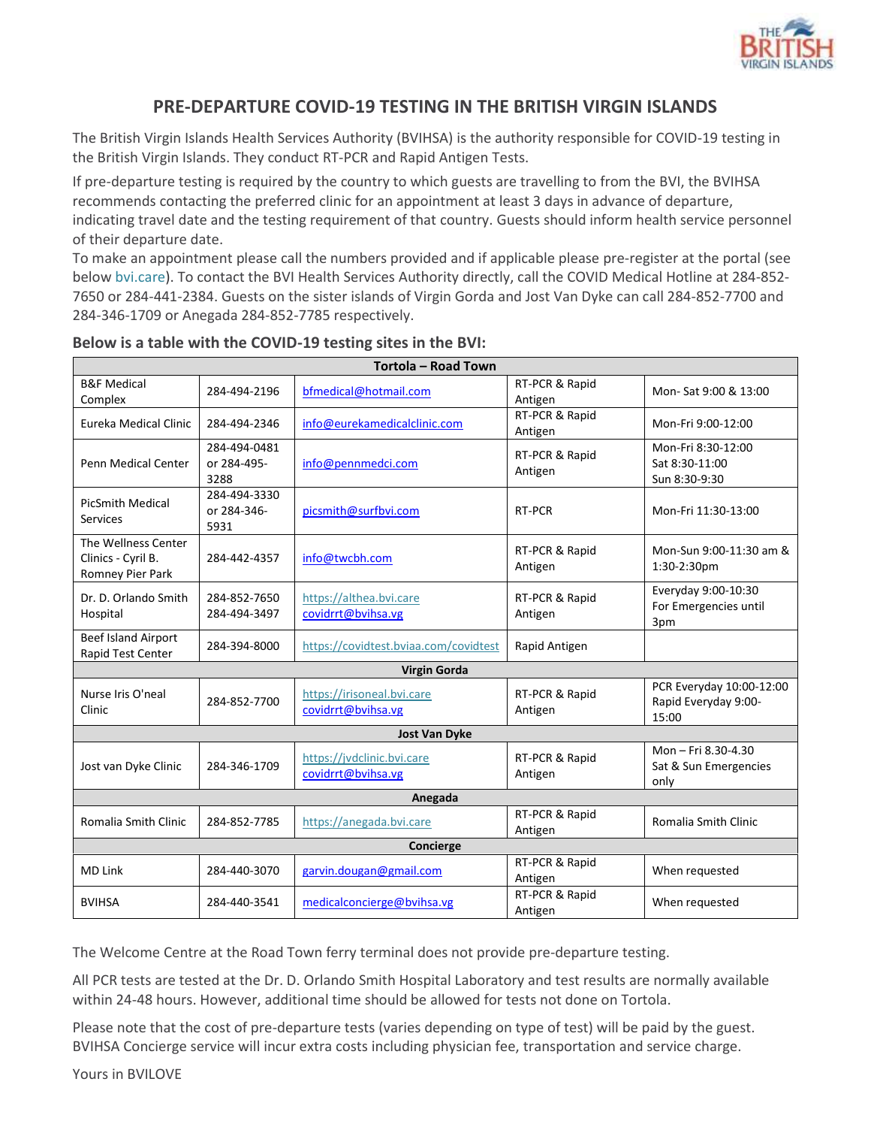

## **PRE-DEPARTURE COVID-19 TESTING IN THE BRITISH VIRGIN ISLANDS**

The British Virgin Islands Health Services Authority (BVIHSA) is the authority responsible for COVID-19 testing in the British Virgin Islands. They conduct RT-PCR and Rapid Antigen Tests.

If pre-departure testing is required by the country to which guests are travelling to from the BVI, the BVIHSA recommends contacting the preferred clinic for an appointment at least 3 days in advance of departure, indicating travel date and the testing requirement of that country. Guests should inform health service personnel of their departure date.

To make an appointment please call the numbers provided and if applicable please pre-register at the portal (see below bvi.care). To contact the BVI Health Services Authority directly, call the COVID Medical Hotline at 284-852- 7650 or 284-441-2384. Guests on the sister islands of Virgin Gorda and Jost Van Dyke can call 284-852-7700 and 284-346-1709 or Anegada 284-852-7785 respectively.

| <b>Tortola - Road Town</b>                                    |                                     |                                                  |                           |                                                           |
|---------------------------------------------------------------|-------------------------------------|--------------------------------------------------|---------------------------|-----------------------------------------------------------|
| <b>B&amp;F Medical</b><br>Complex                             | 284-494-2196                        | bfmedical@hotmail.com                            | RT-PCR & Rapid<br>Antigen | Mon-Sat 9:00 & 13:00                                      |
| Eureka Medical Clinic                                         | 284-494-2346                        | info@eurekamedicalclinic.com                     | RT-PCR & Rapid<br>Antigen | Mon-Fri 9:00-12:00                                        |
| <b>Penn Medical Center</b>                                    | 284-494-0481<br>or 284-495-<br>3288 | info@pennmedci.com                               | RT-PCR & Rapid<br>Antigen | Mon-Fri 8:30-12:00<br>Sat 8:30-11:00<br>Sun 8:30-9:30     |
| <b>PicSmith Medical</b><br><b>Services</b>                    | 284-494-3330<br>or 284-346-<br>5931 | picsmith@surfbvi.com                             | RT-PCR                    | Mon-Fri 11:30-13:00                                       |
| The Wellness Center<br>Clinics - Cyril B.<br>Romney Pier Park | 284-442-4357                        | info@twcbh.com                                   | RT-PCR & Rapid<br>Antigen | Mon-Sun 9:00-11:30 am &<br>1:30-2:30pm                    |
| Dr. D. Orlando Smith<br>Hospital                              | 284-852-7650<br>284-494-3497        | https://althea.bvi.care<br>covidrrt@bvihsa.vg    | RT-PCR & Rapid<br>Antigen | Everyday 9:00-10:30<br>For Emergencies until<br>3pm       |
| Beef Island Airport<br>Rapid Test Center                      | 284-394-8000                        | https://covidtest.bviaa.com/covidtest            | Rapid Antigen             |                                                           |
| <b>Virgin Gorda</b>                                           |                                     |                                                  |                           |                                                           |
| Nurse Iris O'neal<br>Clinic                                   | 284-852-7700                        | https://irisoneal.bvi.care<br>covidrrt@bvihsa.vg | RT-PCR & Rapid<br>Antigen | PCR Everyday 10:00-12:00<br>Rapid Everyday 9:00-<br>15:00 |
| <b>Jost Van Dyke</b>                                          |                                     |                                                  |                           |                                                           |
| Jost van Dyke Clinic                                          | 284-346-1709                        | https://jvdclinic.bvi.care<br>covidrrt@bvihsa.vg | RT-PCR & Rapid<br>Antigen | Mon - Fri 8.30-4.30<br>Sat & Sun Emergencies<br>only      |
| Anegada                                                       |                                     |                                                  |                           |                                                           |
| Romalia Smith Clinic                                          | 284-852-7785                        | https://anegada.bvi.care                         | RT-PCR & Rapid<br>Antigen | Romalia Smith Clinic                                      |
| Concierge                                                     |                                     |                                                  |                           |                                                           |
| <b>MD Link</b>                                                | 284-440-3070                        | garvin.dougan@gmail.com                          | RT-PCR & Rapid<br>Antigen | When requested                                            |
| <b>BVIHSA</b>                                                 | 284-440-3541                        | medicalconcierge@bvihsa.vg                       | RT-PCR & Rapid<br>Antigen | When requested                                            |
|                                                               |                                     |                                                  |                           |                                                           |

## **Below is a table with the COVID-19 testing sites in the BVI:**

The Welcome Centre at the Road Town ferry terminal does not provide pre-departure testing.

All PCR tests are tested at the Dr. D. Orlando Smith Hospital Laboratory and test results are normally available within 24-48 hours. However, additional time should be allowed for tests not done on Tortola.

Please note that the cost of pre-departure tests (varies depending on type of test) will be paid by the guest. BVIHSA Concierge service will incur extra costs including physician fee, transportation and service charge.

Yours in BVILOVE